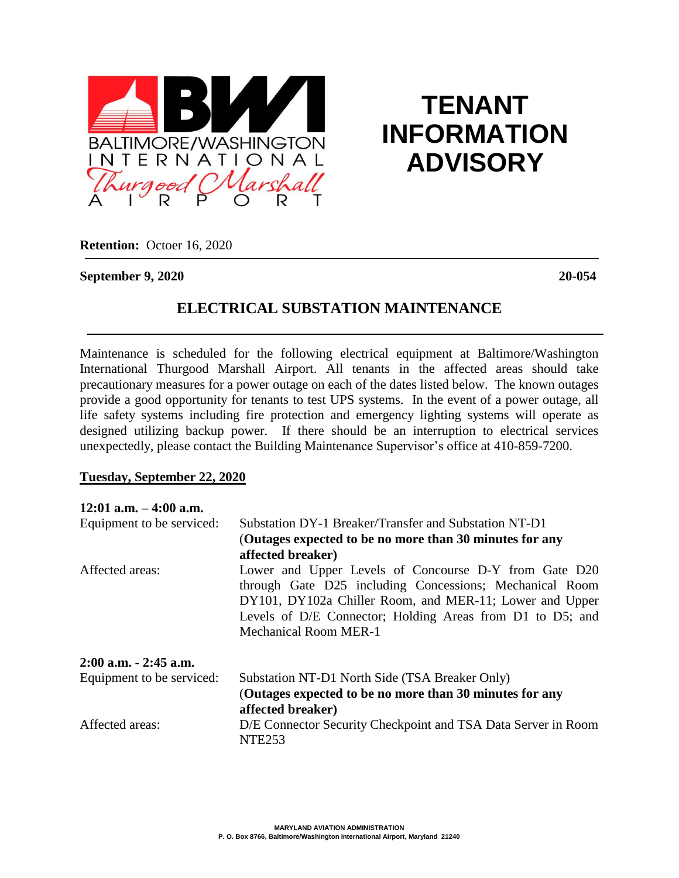

# **TENANT INFORMATION ADVISORY**

**Retention:** Octoer 16, 2020

#### **September 9, 2020 20-054**

## **ELECTRICAL SUBSTATION MAINTENANCE**

Maintenance is scheduled for the following electrical equipment at Baltimore/Washington International Thurgood Marshall Airport. All tenants in the affected areas should take precautionary measures for a power outage on each of the dates listed below. The known outages provide a good opportunity for tenants to test UPS systems. In the event of a power outage, all life safety systems including fire protection and emergency lighting systems will operate as designed utilizing backup power. If there should be an interruption to electrical services unexpectedly, please contact the Building Maintenance Supervisor's office at 410-859-7200.

#### **Tuesday, September 22, 2020**

| $12:01$ a.m. $-4:00$ a.m. |                                                                                     |
|---------------------------|-------------------------------------------------------------------------------------|
| Equipment to be serviced: | Substation DY-1 Breaker/Transfer and Substation NT-D1                               |
|                           | (Outages expected to be no more than 30 minutes for any                             |
|                           | affected breaker)                                                                   |
| Affected areas:           | Lower and Upper Levels of Concourse D-Y from Gate D20                               |
|                           | through Gate D25 including Concessions; Mechanical Room                             |
|                           | DY101, DY102a Chiller Room, and MER-11; Lower and Upper                             |
|                           | Levels of D/E Connector; Holding Areas from D1 to D5; and                           |
|                           | <b>Mechanical Room MER-1</b>                                                        |
| 2:00 a.m. - 2:45 a.m.     |                                                                                     |
| Equipment to be serviced: | Substation NT-D1 North Side (TSA Breaker Only)                                      |
|                           | (Outages expected to be no more than 30 minutes for any                             |
|                           | affected breaker)                                                                   |
| Affected areas:           | D/E Connector Security Checkpoint and TSA Data Server in Room<br>NTE <sub>253</sub> |